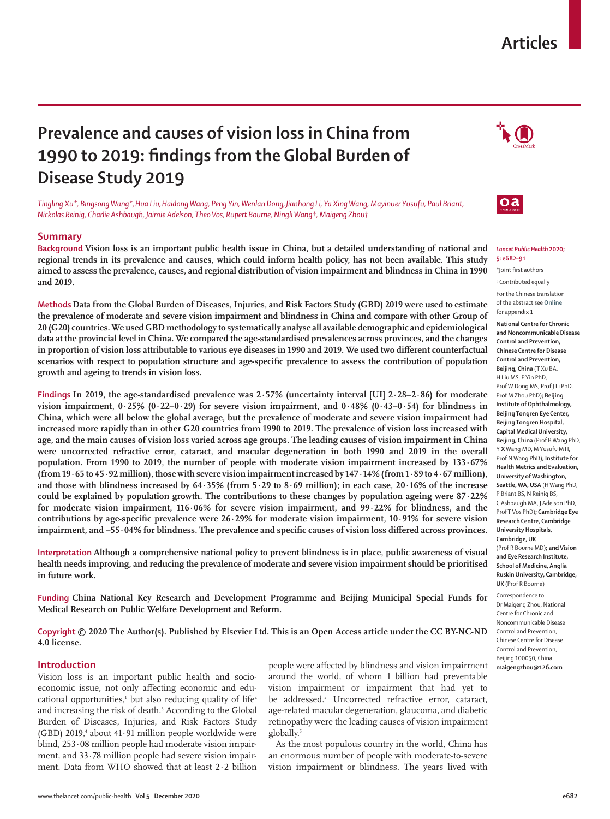# **Articles**

# **Prevalence and causes of vision loss in China from 1990 to 2019: findings from the Global Burden of Disease Study 2019**

*Tingling Xu\*, Bingsong Wang\*,Hua Liu,Haidong Wang, Peng Yin, Wenlan Dong,Jianhong Li, Ya Xing Wang, Mayinuer Yusufu, Paul Briant, Nickolas Reinig, Charlie Ashbaugh, Jaimie Adelson, Theo Vos, Rupert Bourne, Ningli Wang†, Maigeng Zhou†*

## **Summary**

**Background Vision loss is an important public health issue in China, but a detailed understanding of national and regional trends in its prevalence and causes, which could inform health policy, has not been available. This study aimed to assess the prevalence, causes, and regional distribution of vision impairment and blindness in China in 1990 and 2019.**

**Methods Data from the Global Burden of Diseases, Injuries, and Risk Factors Study (GBD) 2019 were used to estimate the prevalence of moderate and severe vision impairment and blindness in China and compare with other Group of 20 (G20) countries. We used GBD methodology to systematically analyse all available demographic and epidemiological data at the provincial level in China. We compared the age-standardised prevalences across provinces, and the changes in proportion of vision loss attributable to various eye diseases in 1990 and 2019. We used two different counterfactual scenarios with respect to population structure and age-specific prevalence to assess the contribution of population growth and ageing to trends in vision loss.**

**Findings In 2019, the age-standardised prevalence was 2·57% (uncertainty interval [UI] 2·28–2·86) for moderate vision impairment, 0·25% (0·22–0·29) for severe vision impairment, and 0·48% (0·43–0·54) for blindness in China, which were all below the global average, but the prevalence of moderate and severe vision impairment had increased more rapidly than in other G20 countries from 1990 to 2019. The prevalence of vision loss increased with age, and the main causes of vision loss varied across age groups. The leading causes of vision impairment in China were uncorrected refractive error, cataract, and macular degeneration in both 1990 and 2019 in the overall population. From 1990 to 2019, the number of people with moderate vision impairment increased by 133·67% (from 19·65 to 45·92 million), those with severe vision impairment increased by 147·14% (from 1·89 to 4·67 million), and those with blindness increased by 64·35% (from 5·29 to 8·69 million); in each case, 20·16% of the increase could be explained by population growth. The contributions to these changes by population ageing were 87·22% for moderate vision impairment, 116·06% for severe vision impairment, and 99·22% for blindness, and the contributions by age-specific prevalence were 26·29% for moderate vision impairment, 10·91% for severe vision impairment, and –55·04% for blindness. The prevalence and specific causes of vision loss differed across provinces.**

**Interpretation Although a comprehensive national policy to prevent blindness is in place, public awareness of visual health needs improving, and reducing the prevalence of moderate and severe vision impairment should be prioritised in future work.**

**Funding China National Key Research and Development Programme and Beijing Municipal Special Funds for Medical Research on Public Welfare Development and Reform.**

**Copyright © 2020 The Author(s). Published by Elsevier Ltd. This is an Open Access article under the CC BY-NC-ND 4.0 license.**

# **Introduction**

Vision loss is an important public health and socioeconomic issue, not only affecting economic and educational opportunities,<sup>1</sup> but also reducing quality of life<sup>2</sup> and increasing the risk of death.<sup>3</sup> According to the Global Burden of Diseases, Injuries, and Risk Factors Study  $(GBD)$  2019,<sup>4</sup> about 41 $\cdot$ 91 million people worldwide were blind, 253·08 million people had moderate vision impairment, and 33·78 million people had severe vision impairment. Data from WHO showed that at least 2·2 billion

people were affected by blindness and vision impairment around the world, of whom 1 billion had preventable vision impairment or impairment that had yet to be addressed.<sup>5</sup> Uncorrected refractive error, cataract, age-related macular degeneration, glaucoma, and diabetic retinopathy were the leading causes of vision impairment globally.<sup>5</sup>

As the most populous country in the world, China has an enormous number of people with moderate-to-severe vision impairment or blindness. The years lived with





#### *Lancet Public Health* **2020; 5: e682–91**

\*Joint first authors †Contributed equally

For the Chinese translation of the abstract see **Online** for appendix 1

**National Centre for Chronic and Noncommunicable Disease Control and Prevention, Chinese Centre for Disease Control and Prevention, Beijing, China** (T Xu BA, H Liu MS, P Yin PhD, Prof W Dong MS, Prof J Li PhD, Prof M Zhou PhD)**; Beijing Institute of Ophthalmology, Beijing Tongren Eye Center, Beijing Tongren Hospital, Capital Medical University, Beijing, China** (Prof B Wang PhD, Y **X** Wang MD, M Yusufu MTI, Prof N Wang PhD)**; Institute for Health Metrics and Evaluation, University of Washington, Seattle, WA, USA** (H Wang PhD, P Briant BS, N Reinig BS, C Ashbaugh MA, J Adelson PhD, Prof T Vos PhD)**; Cambridge Eye Research Centre, Cambridge University Hospitals, Cambridge, UK** (Prof R Bourne MD)**; and Vision** 

**and Eye Research Institute, School of Medicine, Anglia Ruskin University, Cambridge, UK** (Prof R Bourne)

Correspondence to: Dr Maigeng Zhou, National Centre for Chronic and Noncommunicable Disease Control and Prevention, Chinese Centre for Disease Control and Prevention, Beijing 100050, China **maigengzhou@126.com**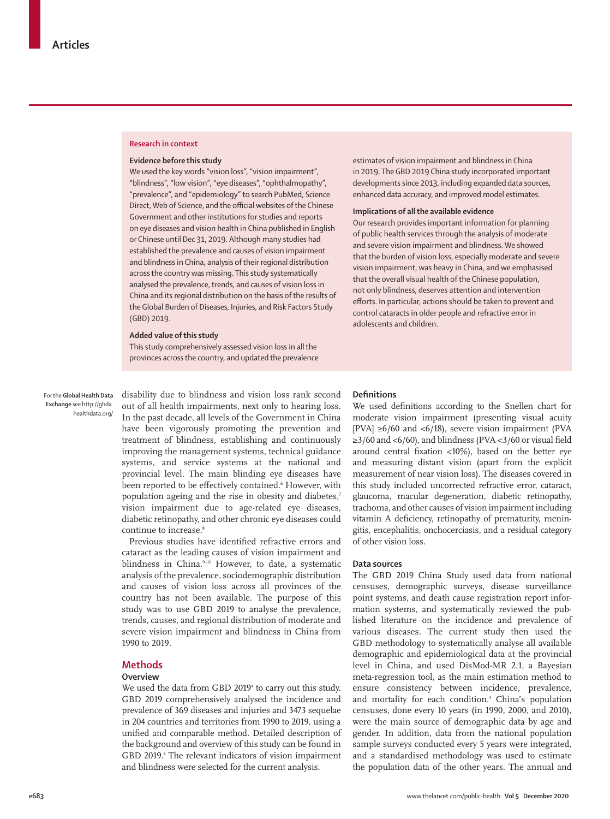### **Research in context**

#### **Evidence before this study**

We used the key words "vision loss", "vision impairment", "blindness", "low vision", "eye diseases", "ophthalmopathy", "prevalence", and "epidemiology" to search PubMed, Science Direct, Web of Science, and the official websites of the Chinese Government and other institutions for studies and reports on eye diseases and vision health in China published in English or Chinese until Dec 31, 2019. Although many studies had established the prevalence and causes of vision impairment and blindness in China, analysis of their regional distribution across the country was missing. This study systematically analysed the prevalence, trends, and causes of vision loss in China and its regional distribution on the basis of the results of the Global Burden of Diseases, Injuries, and Risk Factors Study (GBD) 2019.

#### **Added value of this study**

This study comprehensively assessed vision loss in all the provinces across the country, and updated the prevalence

For the **Global Health Data Exchange** see [http://ghdx.](http://ghdx.healthdata.org/) [healthdata.org/](http://ghdx.healthdata.org/) disability due to blindness and vision loss [rank second](http://ghdx.healthdata.org/) [out of all health impairments,](http://ghdx.healthdata.org/) next only to hearing loss. In the past decade, all levels of the Government in China have been vigorously promoting the prevention and treatment of blindness, establishing and continuously improving the management systems, technical guidance systems, and service systems at the national and provincial level. The main blinding eye diseases have been reported to be effectively contained. However, with population ageing and the rise in obesity and diabetes,7 vision impairment due to age-related eye diseases, diabetic retinopathy, and other chronic eye diseases could continue to increase.<sup>8</sup>

Previous studies have identified refractive errors and cataract as the leading causes of vision impairment and blindness in China. $9-11$  However, to date, a systematic analysis of the prevalence, sociodemographic distribution and causes of vision loss across all provinces of the country has not been available. The purpose of this study was to use GBD 2019 to analyse the prevalence, trends, causes, and regional distribution of moderate and severe vision impairment and blindness in China from 1990 to 2019.

## **Methods**

## **Overview**

We used the data from GBD 2019<sup>4</sup> to carry out this study. GBD 2019 comprehensively analysed the incidence and prevalence of 369 diseases and injuries and 3473 sequelae in 204 countries and territories from 1990 to 2019, using a unified and comparable method. Detailed description of the background and overview of this study can be found in GBD 2019.<sup>4</sup> The relevant indicators of vision impairment and blindness were selected for the current analysis.

estimates of vision impairment and blindness in China in 2019. The GBD 2019 China study incorporated important developments since 2013, including expanded data sources, enhanced data accuracy, and improved model estimates.

#### **Implications of all the available evidence**

Our research provides important information for planning of public health services through the analysis of moderate and severe vision impairment and blindness. We showed that the burden of vision loss, especially moderate and severe vision impairment, was heavy in China, and we emphasised that the overall visual health of the Chinese population, not only blindness, deserves attention and intervention efforts. In particular, actions should be taken to prevent and control cataracts in older people and refractive error in adolescents and children.

#### **Definitions**

We used definitions according to the Snellen chart for moderate vision impairment (presenting visual acuity [PVA]  $\geq 6/60$  and <6/18), severe vision impairment (PVA ≥3/60 and <6/60), and blindness (PVA <3/60 or visual field around central fixation <10%), based on the better eye and measuring distant vision (apart from the explicit measurement of near vision loss). The diseases covered in this study included uncorrected refractive error, cataract, glaucoma, macular degeneration, diabetic retinopathy, trachoma, and other causes of vision impairment including vitamin A deficiency, retinopathy of prematurity, meningitis, encephalitis, onchocerciasis, and a residual category of other vision loss.

#### **Data sources**

The GBD 2019 China Study used data from national censuses, demographic surveys, disease surveillance point systems, and death cause registration report information systems, and systematically reviewed the published literature on the incidence and prevalence of various diseases. The current study then used the GBD methodology to systematically analyse all available demographic and epidemiological data at the provincial level in China, and used DisMod-MR 2.1, a Bayesian meta-regression tool, as the main estimation method to ensure consistency between incidence, prevalence, and mortality for each condition.<sup>4</sup> China's population censuses, done every 10 years (in 1990, 2000, and 2010), were the main source of demographic data by age and gender. In addition, data from the national population sample surveys conducted every 5 years were integrated, and a standardised methodology was used to estimate the population data of the other years. The annual and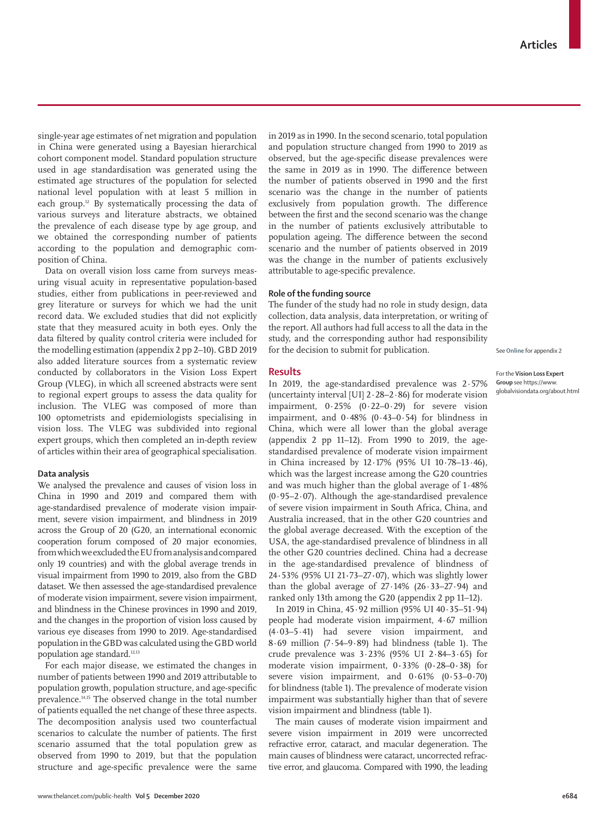single-year age estimates of net migration and population in China were generated using a Bayesian hierarchical cohort component model. Standard population structure used in age standardisation was generated using the estimated age structures of the population for selected national level population with at least 5 million in each group.<sup>12</sup> By systematically processing the data of various surveys and literature abstracts, we obtained the prevalence of each disease type by age group, and we obtained the corresponding number of patients according to the population and demographic composition of China.

Data on overall vision loss came from surveys measuring visual acuity in representative population-based studies, either from publications in peer-reviewed and grey literature or surveys for which we had the unit record data. We excluded studies that did not explicitly state that they measured acuity in both eyes. Only the data filtered by quality control criteria were included for the modelling estimation (appendix 2 pp 2–10). GBD 2019 also added literature sources from a systematic review conducted by collaborators in the [Vision Loss Expert](https://www.globalvisiondata.org/about.html)  [Group](https://www.globalvisiondata.org/about.html) (VLEG), in which all screened abstracts were sent to regional expert groups to assess the data quality for inclusion. The VLEG was composed of more than 100 optometrists and epidemiologists specialising in vision loss. The VLEG was subdivided into regional expert groups, which then completed an in-depth review of articles within their area of geographical specialisation.

## **Data analysis**

We analysed the prevalence and causes of vision loss in China in 1990 and 2019 and compared them with age-standardised prevalence of moderate vision impairment, severe vision impairment, and blindness in 2019 across the Group of 20 (G20, an international economic cooperation forum composed of 20 major economies, from which we excluded the EU from analysis and compared only 19 countries) and with the global average trends in visual impairment from 1990 to 2019, also from the GBD dataset. We then assessed the age-standardised prevalence of moderate vision impairment, severe vision impairment, and blindness in the Chinese provinces in 1990 and 2019, and the changes in the proportion of vision loss caused by various eye diseases from 1990 to 2019. Age-standardised population in the GBD was calculated using the GBD world population age standard.<sup>12,13</sup>

For each major disease, we estimated the changes in number of patients between 1990 and 2019 attributable to population growth, population structure, and age-specific prevalence.14,15 The observed change in the total number of patients equalled the net change of these three aspects. The decomposition analysis used two counterfactual scenarios to calculate the number of patients. The first scenario assumed that the total population grew as observed from 1990 to 2019, but that the population structure and age-specific prevalence were the same in 2019 as in 1990. In the second scenario, total population and population structure changed from 1990 to 2019 as observed, but the age-specific disease prevalences were the same in 2019 as in 1990. The difference between the number of patients observed in 1990 and the first scenario was the change in the number of patients exclusively from population growth. The difference between the first and the second scenario was the change in the number of patients exclusively attributable to population ageing. The difference between the second scenario and the number of patients observed in 2019 was the change in the number of patients exclusively attributable to age-specific prevalence.

## **Role of the funding source**

The funder of the study had no role in study design, data collection, data analysis, data interpretation, or writing of the report. All authors had full access to all the data in the study, and the corresponding author had responsibility for the decision to submit for publication.

#### **Results**

In 2019, the age-standardised prevalence was 2·57% (uncertainty interval [UI] 2·28–2·86) for moderate vision impairment, 0·25% (0·22–0·29) for severe vision impairment, and 0·48% (0·43–0·54) for blindness in China, which were all lower than the global average (appendix 2 pp 11–12). From 1990 to 2019, the agestandardised prevalence of moderate vision impairment in China increased by 12·17% (95% UI 10·78–13·46), which was the largest increase among the G20 countries and was much higher than the global average of 1·48% (0·95–2·07). Although the age-standardised prevalence of severe vision impairment in South Africa, China, and Australia increased, that in the other G20 countries and the global average decreased. With the exception of the USA, the age-standardised prevalence of blindness in all the other G20 countries declined. China had a decrease in the age-standardised prevalence of blindness of 24**·**53% (95% UI 21**·**73–27**·**07), which was slightly lower than the global average of  $27.14\%$  (26 $.33-27.94$ ) and ranked only 13th among the G20 (appendix 2 pp 11–12).

In 2019 in China, 45·92 million (95% UI 40·35–51·94) people had moderate vision impairment, 4·67 million (4·03–5·41) had severe vision impairment, and 8·69 million (7·54–9·89) had blindness (table 1). The crude prevalence was 3·23% (95% UI 2·84–3·65) for moderate vision impairment, 0**·**33% (0**·**28–0**·**38) for severe vision impairment, and 0**·**61% (0**·**53–0**·**70) for blindness (table 1). The prevalence of moderate vision impairment was substantially higher than that of severe vision impairment and blindness (table 1).

The main causes of moderate vision impairment and severe vision impairment in 2019 were uncorrected refractive error, cataract, and macular degeneration. The main causes of blindness were cataract, uncorrected refractive error, and glaucoma. Compared with 1990, the leading See **Online** for appendix 2

For the **Vision Loss Expert Group** see [https://www.](https://www.globalvisiondata.org/about.html) [globalvisiondata.org/about.html](https://www.globalvisiondata.org/about.html)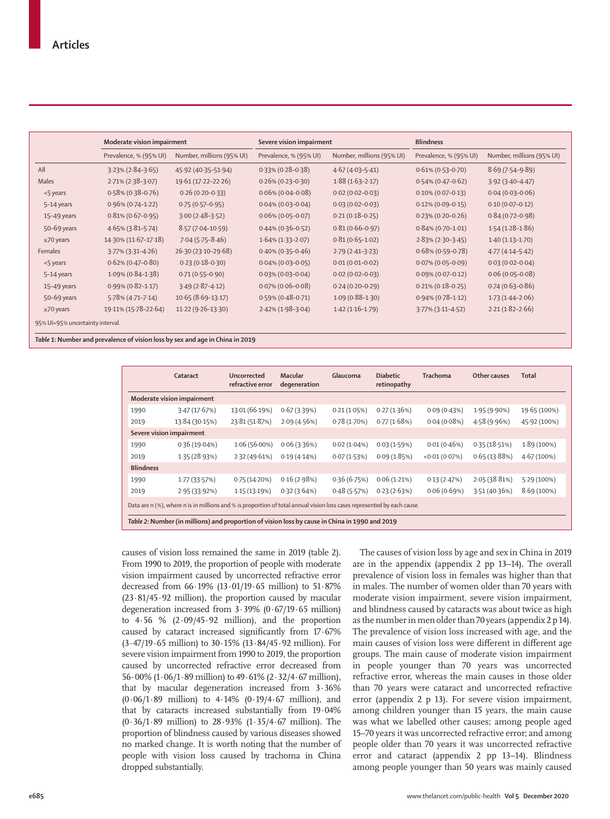|                 | Moderate vision impairment |                           | Severe vision impairment |                           | <b>Blindness</b>       |                           |  |
|-----------------|----------------------------|---------------------------|--------------------------|---------------------------|------------------------|---------------------------|--|
|                 | Prevalence, % (95% UI)     | Number, millions (95% UI) | Prevalence, % (95% UI)   | Number, millions (95% UI) | Prevalence, % (95% UI) | Number, millions (95% UI) |  |
| All             | $3.23\%$ (2.84-3.65)       | 45.92 (40.35-51.94)       | $0.33\%$ (0.28-0.38)     | $4.67(4.03-5.41)$         | $0.61\% (0.53 - 0.70)$ | $8.69(7.54 - 9.89)$       |  |
| Males           | $2.71\% (2.38 - 3.07)$     | 19.61 (17.22-22.26)       | $0.26\%$ (0.23-0.30)     | $1.88(1.63 - 2.17)$       | $0.54\%$ (0.47-0.62)   | $3.92(3.40 - 4.47)$       |  |
| <5 years        | $0.58\%$ (0.38-0.76)       | $0.26(0.20 - 0.33)$       | $0.06\%$ (0.04-0.08)     | $0.02(0.02 - 0.03)$       | $0.10\%$ (0.07-0.13)   | $0.04(0.03 - 0.06)$       |  |
| 5-14 years      | $0.96\%$ (0.74-1.22)       | $0.75(0.57-0.95)$         | $0.04\%$ (0.03-0.04)     | $0.03(0.02 - 0.03)$       | $0.12\% (0.09 - 0.15)$ | $0.10(0.07 - 0.12)$       |  |
| 15-49 years     | $0.81\% (0.67 - 0.95)$     | $3.00(2.48-3.52)$         | $0.06\%$ (0.05-0.07)     | $0.21(0.18-0.25)$         | $0.23\%$ (0.20-0.26)   | $0.84(0.72 - 0.98)$       |  |
| 50-69 years     | $4.65\%$ (3.81-5.74)       | $8.57(7.04 - 10.59)$      | $0.44\%$ (0.36-0.52)     | $0.81(0.66 - 0.97)$       | $0.84\%$ (0.70-1.01)   | $1.54(1.28-1.86)$         |  |
| $\geq$ 70 years | 14.30% (11.67-17.18)       | $7.04(5.75 - 8.46)$       | $1.64\%$ (1.33-2.07)     | $0.81(0.65 - 1.02)$       | $2.83\%$ (2.30-3.45)   | $1.40(1.13 - 1.70)$       |  |
| Females         | $3.77\%$ (3.31-4.26)       | 26.30 (23.10-29.68)       | $0.40\%$ (0.35-0.46)     | $2.79(2.41-3.23)$         | $0.68\%$ (0.59-0.78)   | $4.77(4.14-5.42)$         |  |
| <5 years        | $0.62\%$ (0.47-0.80)       | $0.23(0.18-0.30)$         | $0.04\%$ (0.03-0.05)     | $0.01(0.01 - 0.02)$       | $0.07\%$ (0.05-0.09)   | $0.03(0.02 - 0.04)$       |  |
| 5-14 years      | $1.09\%$ (0.84-1.38)       | $0.71(0.55 - 0.90)$       | $0.03\%$ (0.03-0.04)     | $0.02(0.02 - 0.03)$       | $0.09\%$ (0.07-0.12)   | $0.06(0.05 - 0.08)$       |  |
| 15-49 years     | $0.99\%$ (0.82-1.17)       | $3.49(2.87 - 4.12)$       | $0.07\%$ (0.06-0.08)     | $0.24(0.20 - 0.29)$       | $0.21\% (0.18 - 0.25)$ | $0.74(0.63 - 0.86)$       |  |
| 50-69 years     | $5.78\%$ (4.71-7.14)       | $10.65(8.69-13.17)$       | $0.59\%$ (0.48-0.71)     | $1.09(0.88 - 1.30)$       | $0.94\%$ (0.78-1.12)   | $1.73(1.44 - 2.06)$       |  |
| $\geq$ 70 years | 19.11% (15.78-22.64)       | $11.22(9.26-13.30)$       | $2.42\%$ (1.98-3.04)     | $1.42(1.16-1.79)$         | $3.77\%$ (3.11-4.52)   | $2.21(1.82 - 2.66)$       |  |

*Table 1:* **Number and prevalence of vision loss by sex and age in China in 2019**

|                                                                                                                         | Cataract                 | Uncorrected<br>refractive error | Macular<br>degeneration | Glaucoma    | <b>Diabetic</b><br>retinopathy | Trachoma     | Other causes | <b>Total</b>  |  |
|-------------------------------------------------------------------------------------------------------------------------|--------------------------|---------------------------------|-------------------------|-------------|--------------------------------|--------------|--------------|---------------|--|
| Moderate vision impairment                                                                                              |                          |                                 |                         |             |                                |              |              |               |  |
| 1990                                                                                                                    | 3.47(17.67%)             | 13.01 (66.19%)                  | 0.67(3.39%)             | 0.21(1.05%) | 0.27(1.36%)                    | 0.09(0.43%)  | 1.95(9.90%)  | 19.65 (100%)  |  |
| 2019                                                                                                                    | 13.84 (30.15%)           | 23.81 (51.87%)                  | 2.09(4.56%)             | 0.78(1.70%) | 0.77(1.68%)                    | 0.04(0.08%)  | 4.58 (9.96%) | 45.92 (100%)  |  |
|                                                                                                                         | Severe vision impairment |                                 |                         |             |                                |              |              |               |  |
| 1990                                                                                                                    | 0.36(19.04%)             | $1.06(56.00\%)$                 | 0.06(3.36%)             | 0.02(1.04%) | 0.03(1.59%)                    | 0.01(0.46%)  | 0.35(18.51%) | $1.89(100\%)$ |  |
| 2019                                                                                                                    | 1.35(28.93%)             | 2.32(49.61%)                    | 0.19(4.14%)             | 0.07(1.53%) | 0.09(1.85%)                    | <0.01(0.07%) | 0.65(13.88%) | 4.67(100%)    |  |
| <b>Blindness</b>                                                                                                        |                          |                                 |                         |             |                                |              |              |               |  |
| 1990                                                                                                                    | 1.77(33.57%)             | 0.75(14.20%)                    | 0.16(2.98%)             | 0.36(6.75%) | 0.06(1.21%)                    | 0.13(2.47%)  | 2.05(38.81%) | 5.29(100%)    |  |
| 2019                                                                                                                    | 2.95(33.92%)             | 1.15(13.19%)                    | 0.32(3.64%)             | 0.48(5.57%) | 0.23(2.63%)                    | 0.06(0.69%)  | 3.51(40.36%) | $8.69(100\%)$ |  |
| Data are n (%), where n is in millions and % is proportion of total annual vision loss cases represented by each cause. |                          |                                 |                         |             |                                |              |              |               |  |

causes of vision loss remained the same in 2019 (table 2). From 1990 to 2019, the proportion of people with moderate vision impairment caused by uncorrected refractive error decreased from 66·19% (13·01/19·65 million) to 51·87% (23·81/45·92 million), the proportion caused by macular degeneration increased from 3·39% (0·67/19·65 million) to  $4.56 \%$   $(2.09/45.92 \text{ million})$ , and the proportion caused by cataract increased significantly from 17·67% (3·47/19·65 million) to 30·15% (13·84/45·92 million). For severe vision impairment from 1990 to 2019, the proportion caused by uncorrected refractive error decreased from 56·00% (1·06/1·89 million) to 49·61% (2·32/4·67 million), that by macular degeneration increased from 3·36%  $(0.06/1.89 \text{ million})$  to  $4.14\%$   $(0.19/4.67 \text{ million})$ , and that by cataracts increased substantially from 19·04% (0·36/1·89 million) to 28·93% (1·35/4·67 million). The proportion of blindness caused by various diseases showed no marked change. It is worth noting that the number of people with vision loss caused by trachoma in China dropped substantially.

The causes of vision loss by age and sex in China in 2019 are in the appendix (appendix 2 pp 13–14). The overall prevalence of vision loss in females was higher than that in males. The number of women older than 70 years with moderate vision impairment, severe vision impairment, and blindness caused by cataracts was about twice as high as the number in men older than 70 years (appendix 2 p 14). The prevalence of vision loss increased with age, and the main causes of vision loss were different in different age groups. The main cause of moderate vision impairment in people younger than 70 years was uncorrected refractive error, whereas the main causes in those older than 70 years were cataract and uncorrected refractive error (appendix 2 p 13). For severe vision impairment, among children younger than 15 years, the main cause was what we labelled other causes; among people aged 15–70 years it was uncorrected refractive error; and among people older than 70 years it was uncorrected refractive error and cataract (appendix 2 pp 13–14). Blindness among people younger than 50 years was mainly caused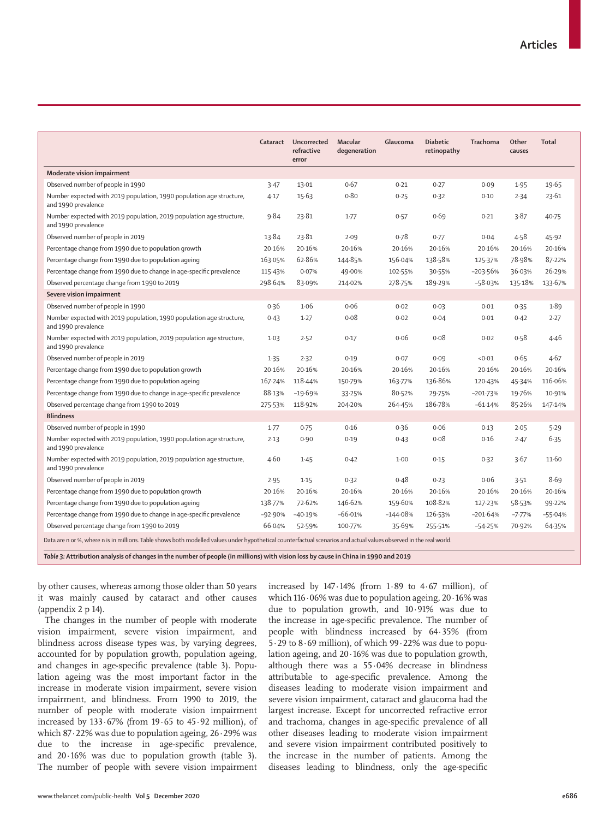|                                                                                                                                                                     | Cataract  | Uncorrected<br>refractive<br>error | Macular<br>degeneration | Glaucoma   | <b>Diabetic</b><br>retinopathy | Trachoma     | Other<br>causes | Total     |  |
|---------------------------------------------------------------------------------------------------------------------------------------------------------------------|-----------|------------------------------------|-------------------------|------------|--------------------------------|--------------|-----------------|-----------|--|
| Moderate vision impairment                                                                                                                                          |           |                                    |                         |            |                                |              |                 |           |  |
| Observed number of people in 1990                                                                                                                                   | 3.47      | 13.01                              | 0.67                    | 0.21       | 0.27                           | 0.09         | 1.95            | 19.65     |  |
| Number expected with 2019 population, 1990 population age structure,<br>and 1990 prevalence                                                                         | 4.17      | 15.63                              | 0.80                    | 0.25       | 0.32                           | 0.10         | 2.34            | 23.61     |  |
| Number expected with 2019 population, 2019 population age structure,<br>and 1990 prevalence                                                                         | 9.84      | 23.81                              | 1.77                    | 0.57       | 0.69                           | 0.21         | 3.87            | 40.75     |  |
| Observed number of people in 2019                                                                                                                                   | 13.84     | 23.81                              | 2.09                    | 0.78       | 0.77                           | 0.04         | 4.58            | 45.92     |  |
| Percentage change from 1990 due to population growth                                                                                                                | 20.16%    | 20.16%                             | 20.16%                  | 20.16%     | 20.16%                         | 20.16%       | 20.16%          | 20.16%    |  |
| Percentage change from 1990 due to population ageing                                                                                                                | 163.05%   | 62.86%                             | 144.85%                 | 156.04%    | 138.58%                        | 125.37%      | 78.98%          | 87-22%    |  |
| Percentage change from 1990 due to change in age-specific prevalence                                                                                                | 115.43%   | 0.07%                              | 49.00%                  | 102.55%    | 30.55%                         | $-203.56%$   | 36.03%          | 26.29%    |  |
| Observed percentage change from 1990 to 2019                                                                                                                        | 298.64%   | 83.09%                             | 214.02%                 | 278.75%    | 189.29%                        | $-58.03%$    | 135.18%         | 133.67%   |  |
| Severe vision impairment                                                                                                                                            |           |                                    |                         |            |                                |              |                 |           |  |
| Observed number of people in 1990                                                                                                                                   | 0.36      | 1.06                               | 0.06                    | 0.02       | 0.03                           | 0.01         | 0.35            | 1.89      |  |
| Number expected with 2019 population, 1990 population age structure,<br>and 1990 prevalence                                                                         | 0.43      | $1-27$                             | 0.08                    | 0.02       | 0.04                           | 0.01         | 0.42            | 2.27      |  |
| Number expected with 2019 population, 2019 population age structure,<br>and 1990 prevalence                                                                         | $1-03$    | 2.52                               | 0.17                    | 0.06       | 0.08                           | 0.02         | 0.58            | 4.46      |  |
| Observed number of people in 2019                                                                                                                                   | 1.35      | 2.32                               | 0.19                    | 0.07       | 0.09                           | < 0.01       | 0.65            | 4.67      |  |
| Percentage change from 1990 due to population growth                                                                                                                | 20.16%    | 20.16%                             | 20.16%                  | 20.16%     | 20.16%                         | 20.16%       | 20.16%          | 20.16%    |  |
| Percentage change from 1990 due to population ageing                                                                                                                | 167.24%   | 118.44%                            | 150.79%                 | 163.77%    | 136.86%                        | 120.43%      | 45.34%          | 116.06%   |  |
| Percentage change from 1990 due to change in age-specific prevalence                                                                                                | 88.13%    | $-19.69%$                          | 33.25%                  | 80.52%     | 29.75%                         | $-201 - 73%$ | 19.76%          | 10.91%    |  |
| Observed percentage change from 1990 to 2019                                                                                                                        | 275.53%   | 118.92%                            | 204-20%                 | 264-45%    | 186.78%                        | $-61.14%$    | 85.26%          | 147-14%   |  |
| <b>Blindness</b>                                                                                                                                                    |           |                                    |                         |            |                                |              |                 |           |  |
| Observed number of people in 1990                                                                                                                                   | $1-77$    | 0.75                               | 0.16                    | 0.36       | 0.06                           | 0.13         | 2.05            | 5.29      |  |
| Number expected with 2019 population, 1990 population age structure,<br>and 1990 prevalence                                                                         | 2.13      | 0.90                               | 0.19                    | 0.43       | 0.08                           | 0.16         | 2.47            | 6.35      |  |
| Number expected with 2019 population, 2019 population age structure,<br>and 1990 prevalence                                                                         | 4.60      | 1.45                               | 0.42                    | $1-00$     | 0.15                           | 0.32         | 3.67            | 11.60     |  |
| Observed number of people in 2019                                                                                                                                   | 2.95      | 1.15                               | 0.32                    | 0.48       | 0.23                           | 0.06         | 3.51            | 8.69      |  |
| Percentage change from 1990 due to population growth                                                                                                                | 20.16%    | 20.16%                             | 20.16%                  | 20.16%     | 20.16%                         | 20.16%       | 20.16%          | 20.16%    |  |
| Percentage change from 1990 due to population ageing                                                                                                                | 138.77%   | 72.62%                             | 146.62%                 | 159.60%    | 108.82%                        | 127-23%      | 58.53%          | 99.22%    |  |
| Percentage change from 1990 due to change in age-specific prevalence                                                                                                | $-92.90%$ | $-40.19%$                          | $-66.01%$               | $-144.08%$ | 126.53%                        | $-201.64%$   | $-7.77%$        | $-55.04%$ |  |
| Observed percentage change from 1990 to 2019                                                                                                                        | 66.04%    | 52.59%                             | 100.77%                 | 35.69%     | 255-51%                        | $-54.25%$    | 70.92%          | 64.35%    |  |
| Data are n or %, where n is in millions. Table shows both modelled values under hypothetical counterfactual scenarios and actual values observed in the real world. |           |                                    |                         |            |                                |              |                 |           |  |

*Table 3:* **Attribution analysis of changes in the number of people (in millions) with vision loss by cause in China in 1990 and 2019**

by other causes, whereas among those older than 50 years it was mainly caused by cataract and other causes (appendix 2 p 14).

The changes in the number of people with moderate vision impairment, severe vision impairment, and blindness across disease types was, by varying degrees, accounted for by population growth, population ageing, and changes in age-specific prevalence (table 3). Population ageing was the most important factor in the increase in moderate vision impairment, severe vision impairment, and blindness. From 1990 to 2019, the number of people with moderate vision impairment increased by 133·67% (from 19·65 to 45·92 million), of which 87·22% was due to population ageing, 26·29% was due to the increase in age-specific prevalence, and  $20.16\%$  was due to population growth (table 3). The number of people with severe vision impairment increased by 147·14% (from 1·89 to 4·67 million), of which 116·06% was due to population ageing, 20·16% was due to population growth, and 10·91% was due to the increase in age-specific prevalence. The number of people with blindness increased by 64·35% (from 5·29 to 8·69 million), of which 99·22% was due to population ageing, and 20·16% was due to population growth, although there was a 55·04% decrease in blindness attributable to age-specific prevalence. Among the diseases leading to moderate vision impairment and severe vision impairment, cataract and glaucoma had the largest increase. Except for uncorrected refractive error and trachoma, changes in age-specific prevalence of all other diseases leading to moderate vision impairment and severe vision impairment contributed positively to the increase in the number of patients. Among the diseases leading to blindness, only the age-specific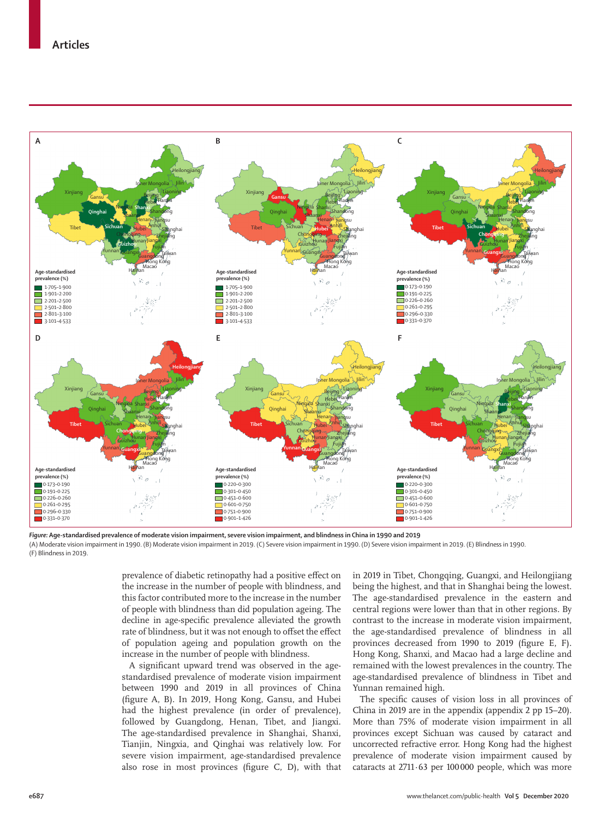

*Figure:* **Age-standardised prevalence of moderate vision impairment, severe vision impairment, and blindness in China in 1990 and 2019**

(A) Moderate vision impairment in 1990. (B) Moderate vision impairment in 2019. (C) Severe vision impairment in 1990. (D) Severe vision impairment in 2019. (E) Blindness in 1990. (F) Blindness in 2019.

> prevalence of diabetic retinopathy had a positive effect on the increase in the number of people with blindness, and this factor contributed more to the increase in the number of people with blindness than did population ageing. The decline in age-specific prevalence alleviated the growth rate of blindness, but it was not enough to offset the effect of population ageing and population growth on the increase in the number of people with blindness.

> A significant upward trend was observed in the agestandardised prevalence of moderate vision impairment between 1990 and 2019 in all provinces of China (figure A, B). In 2019, Hong Kong, Gansu, and Hubei had the highest prevalence (in order of prevalence), followed by Guangdong, Henan, Tibet, and Jiangxi. The age-standardised prevalence in Shanghai, Shanxi, Tianjin, Ningxia, and Qinghai was relatively low. For severe vision impairment, age-standardised prevalence also rose in most provinces (figure C, D), with that

in 2019 in Tibet, Chongqing, Guangxi, and Heilongjiang being the highest, and that in Shanghai being the lowest. The age-standardised prevalence in the eastern and central regions were lower than that in other regions. By contrast to the increase in moderate vision impairment, the age-standardised prevalence of blindness in all provinces decreased from 1990 to 2019 (figure E, F). Hong Kong, Shanxi, and Macao had a large decline and remained with the lowest prevalences in the country. The age-standardised prevalence of blindness in Tibet and Yunnan remained high.

The specific causes of vision loss in all provinces of China in 2019 are in the appendix (appendix 2 pp 15–20). More than 75% of moderate vision impairment in all provinces except Sichuan was caused by cataract and uncorrected refractive error. Hong Kong had the highest prevalence of moderate vision impairment caused by cataracts at 2711·63 per 100000 people, which was more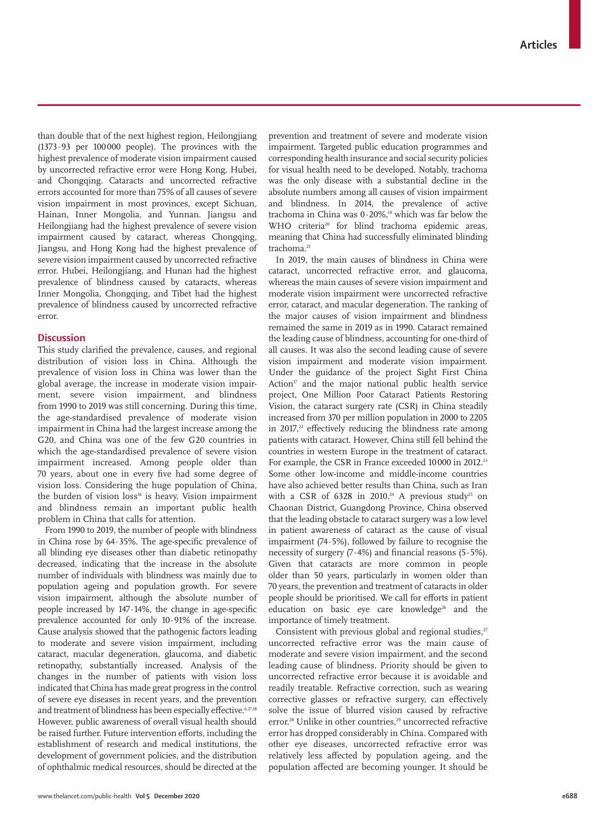than double that of the next highest region, Heilongjiang (1373·93 per 100000 people). The provinces with the highest prevalence of moderate vision impairment caused by uncorrected refractive error were Hong Kong, Hubei, and Chongqing. Cataracts and uncorrected refractive errors accounted for more than 75% of all causes of severe vision impairment in most provinces, except Sichuan, Hainan, Inner Mongolia, and Yunnan. Jiangsu and Heilongjiang had the highest prevalence of severe vision impairment caused by cataract, whereas Chongqing, Jiangsu, and Hong Kong had the highest prevalence of severe vision impairment caused by uncorrected refractive error. Hubei, Heilongjiang, and Hunan had the highest prevalence of blindness caused by cataracts, whereas Inner Mongolia, Chongqing, and Tibet had the highest prevalence of blindness caused by uncorrected refractive error.

## **Discussion**

This study clarified the prevalence, causes, and regional distribution of vision loss in China. Although the prevalence of vision loss in China was lower than the global average, the increase in moderate vision impairment, severe vision impairment, and blindness from 1990 to 2019 was still concerning. During this time, the age-standardised prevalence of moderate vision impairment in China had the largest increase among the G20, and China was one of the few G20 countries in which the age-standardised prevalence of severe vision impairment increased. Among people older than 70 years, about one in every five had some degree of vision loss. Considering the huge population of China, the burden of vision loss<sup>16</sup> is heavy. Vision impairment and blindness remain an important public health problem in China that calls for attention.

From 1990 to 2019, the number of people with blindness in China rose by 64·35%. The age-specific prevalence of all blinding eye diseases other than diabetic retinopathy decreased, indicating that the increase in the absolute number of individuals with blindness was mainly due to population ageing and population growth. For severe vision impairment, although the absolute number of people increased by 147·14%, the change in age-specific prevalence accounted for only 10·91% of the increase. Cause analysis showed that the pathogenic factors leading to moderate and severe vision impairment, including cataract, macular degeneration, glaucoma, and diabetic retinopathy, substantially increased. Analysis of the changes in the number of patients with vision loss indicated that China has made great progress in the control of severe eye diseases in recent years, and the prevention and treatment of blindness has been especially effective.<sup>6,17,18</sup> However, public awareness of overall visual health should be raised further. Future intervention efforts, including the establishment of research and medical institutions, the development of government policies, and the distribution of ophthalmic medical resources, should be directed at the prevention and treatment of severe and moderate vision impairment. Targeted public education programmes and corresponding health insurance and social security policies for visual health need to be developed. Notably, trachoma was the only disease with a substantial decline in the absolute numbers among all causes of vision impairment and blindness. In 2014, the prevalence of active trachoma in China was  $0.20\%$ ,<sup>19</sup> which was far below the WHO criteria<sup>20</sup> for blind trachoma epidemic areas, meaning that China had successfully eliminated blinding trachoma.<sup>21</sup>

In 2019, the main causes of blindness in China were cataract, uncorrected refractive error, and glaucoma, whereas the main causes of severe vision impairment and moderate vision impairment were uncorrected refractive error, cataract, and macular degeneration. The ranking of the major causes of vision impairment and blindness remained the same in 2019 as in 1990. Cataract remained the leading cause of blindness, accounting for one-third of all causes. It was also the second leading cause of severe vision impairment and moderate vision impairment. Under the guidance of the project Sight First China Action<sup>17</sup> and the major national public health service project, One Million Poor Cataract Patients Restoring Vision, the cataract surgery rate (CSR) in China steadily increased from 370 per million population in 2000 to 2205 in  $2017<sup>22</sup>$  effectively reducing the blindness rate among patients with cataract. However, China still fell behind the countries in western Europe in the treatment of cataract. For example, the CSR in France exceeded 10000 in 2012.<sup>23</sup> Some other low-income and middle-income countries have also achieved better results than China, such as Iran with a CSR of 6328 in 2010.<sup>24</sup> A previous study<sup>25</sup> on Chaonan District, Guangdong Province, China observed that the leading obstacle to cataract surgery was a low level in patient awareness of cataract as the cause of visual impairment (74·5%), followed by failure to recognise the necessity of surgery (7·4%) and financial reasons (5·5%). Given that cataracts are more common in people older than 50 years, particularly in women older than 70 years, the prevention and treatment of cataracts in older people should be prioritised. We call for efforts in patient education on basic eye care knowledge<sup>26</sup> and the importance of timely treatment.

Consistent with previous global and regional studies, $27$ uncorrected refractive error was the main cause of moderate and severe vision impairment, and the second leading cause of blindness. Priority should be given to uncorrected refractive error because it is avoidable and readily treatable. Refractive correction, such as wearing corrective glasses or refractive surgery, can effectively solve the issue of blurred vision caused by refractive error.<sup>28</sup> Unlike in other countries,<sup>29</sup> uncorrected refractive error has dropped considerably in China. Compared with other eye diseases, uncorrected refractive error was relatively less affected by population ageing, and the population affected are becoming younger. It should be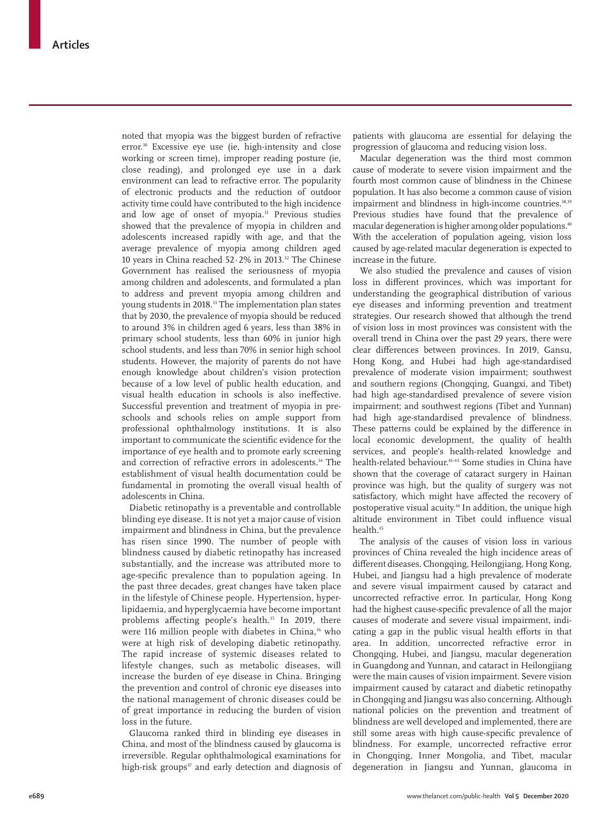noted that myopia was the biggest burden of refractive error.30 Excessive eye use (ie, high-intensity and close working or screen time), improper reading posture (ie, close reading), and prolonged eye use in a dark environment can lead to refractive error. The popularity of electronic products and the reduction of outdoor activity time could have contributed to the high incidence and low age of onset of myopia.<sup>31</sup> Previous studies showed that the prevalence of myopia in children and adolescents increased rapidly with age, and that the average prevalence of myopia among children aged 10 years in China reached 52·2% in 2013.32 The Chinese Government has realised the seriousness of myopia among children and adolescents, and formulated a plan to address and prevent myopia among children and young students in 2018.<sup>33</sup> The implementation plan states that by 2030, the prevalence of myopia should be reduced to around 3% in children aged 6 years, less than 38% in primary school students, less than 60% in junior high school students, and less than 70% in senior high school students. However, the majority of parents do not have enough knowledge about children's vision protection because of a low level of public health education, and visual health education in schools is also ineffective. Successful prevention and treatment of myopia in preschools and schools relies on ample support from professional ophthalmology institutions. It is also important to communicate the scientific evidence for the importance of eye health and to promote early screening and correction of refractive errors in adolescents.<sup>34</sup> The establishment of visual health documentation could be fundamental in promoting the overall visual health of adolescents in China.

Diabetic retinopathy is a preventable and controllable blinding eye disease. It is not yet a major cause of vision impairment and blindness in China, but the prevalence has risen since 1990. The number of people with blindness caused by diabetic retinopathy has increased substantially, and the increase was attributed more to age-specific prevalence than to population ageing. In the past three decades, great changes have taken place in the lifestyle of Chinese people. Hypertension, hyperlipidaemia, and hyperglycaemia have become important problems affecting people's health.<sup>35</sup> In 2019, there were 116 million people with diabetes in China,<sup>36</sup> who were at high risk of developing diabetic retinopathy. The rapid increase of systemic diseases related to lifestyle changes, such as metabolic diseases, will increase the burden of eye disease in China. Bringing the prevention and control of chronic eye diseases into the national management of chronic diseases could be of great importance in reducing the burden of vision loss in the future.

Glaucoma ranked third in blinding eye diseases in China, and most of the blindness caused by glaucoma is irreversible. Regular ophthalmological examinations for high-risk groups $37$  and early detection and diagnosis of

patients with glaucoma are essential for delaying the progression of glaucoma and reducing vision loss.

Macular degeneration was the third most common cause of moderate to severe vision impairment and the fourth most common cause of blindness in the Chinese population. It has also become a common cause of vision impairment and blindness in high-income countries.<sup>38,39</sup> Previous studies have found that the prevalence of macular degeneration is higher among older populations.40 With the acceleration of population ageing, vision loss caused by age-related macular degeneration is expected to increase in the future.

We also studied the prevalence and causes of vision loss in different provinces, which was important for understanding the geographical distribution of various eye diseases and informing prevention and treatment strategies. Our research showed that although the trend of vision loss in most provinces was consistent with the overall trend in China over the past 29 years, there were clear differences between provinces. In 2019, Gansu, Hong Kong, and Hubei had high age-standardised prevalence of moderate vision impairment; southwest and southern regions (Chongqing, Guangxi, and Tibet) had high age-standardised prevalence of severe vision impairment; and southwest regions (Tibet and Yunnan) had high age-standardised prevalence of blindness. These patterns could be explained by the difference in local economic development, the quality of health services, and people's health-related knowledge and health-related behaviour.41–43 Some studies in China have shown that the coverage of cataract surgery in Hainan province was high, but the quality of surgery was not satisfactory, which might have affected the recovery of postoperative visual acuity.<sup>44</sup> In addition, the unique high altitude environment in Tibet could influence visual health.45

The analysis of the causes of vision loss in various provinces of China revealed the high incidence areas of different diseases. Chongqing, Heilongjiang, Hong Kong, Hubei, and Jiangsu had a high prevalence of moderate and severe visual impairment caused by cataract and uncorrected refractive error. In particular, Hong Kong had the highest cause-specific prevalence of all the major causes of moderate and severe visual impairment, indicating a gap in the public visual health efforts in that area. In addition, uncorrected refractive error in Chongqing, Hubei, and Jiangsu, macular degeneration in Guangdong and Yunnan, and cataract in Heilongjiang were the main causes of vision impairment. Severe vision impairment caused by cataract and diabetic retinopathy in Chongqing and Jiangsu was also concerning. Although national policies on the prevention and treatment of blindness are well developed and implemented, there are still some areas with high cause-specific prevalence of blindness. For example, uncorrected refractive error in Chongqing, Inner Mongolia, and Tibet, macular degeneration in Jiangsu and Yunnan, glaucoma in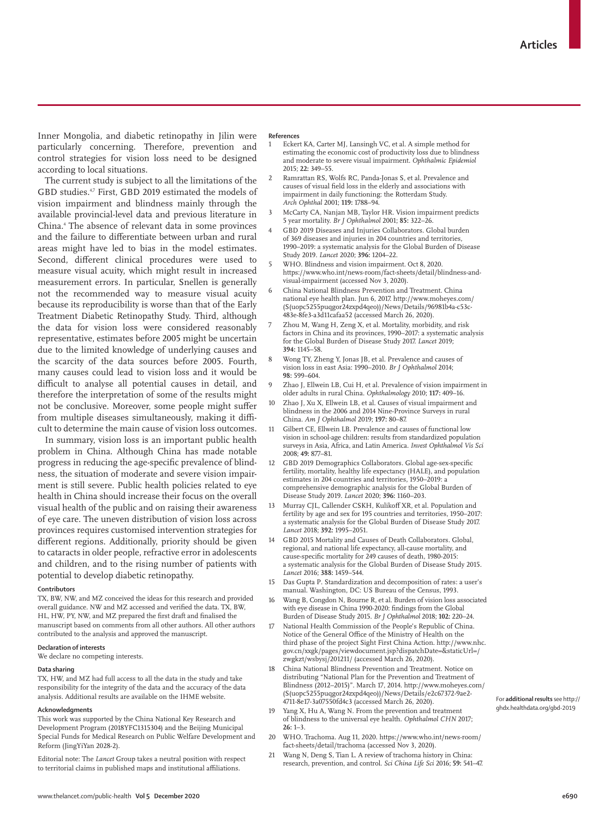Inner Mongolia, and diabetic retinopathy in Jilin were particularly concerning. Therefore, prevention and control strategies for vision loss need to be designed according to local situations.

The current study is subject to all the limitations of the GBD studies.<sup>47</sup> First, GBD 2019 estimated the models of vision impairment and blindness mainly through the available provincial-level data and previous literature in China.4 The absence of relevant data in some provinces and the failure to differentiate between urban and rural areas might have led to bias in the model estimates. Second, different clinical procedures were used to measure visual acuity, which might result in increased measurement errors. In particular, Snellen is generally not the recommended way to measure visual acuity because its reproducibility is worse than that of the Early Treatment Diabetic Retinopathy Study. Third, although the data for vision loss were considered reasonably representative, estimates before 2005 might be uncertain due to the limited knowledge of underlying causes and the scarcity of the data sources before 2005. Fourth, many causes could lead to vision loss and it would be difficult to analyse all potential causes in detail, and therefore the interpretation of some of the results might not be conclusive. Moreover, some people might suffer from multiple diseases simultaneously, making it difficult to determine the main cause of vision loss outcomes.

In summary, vision loss is an important public health problem in China. Although China has made notable progress in reducing the age-specific prevalence of blindness, the situation of moderate and severe vision impairment is still severe. Public health policies related to eye health in China should increase their focus on the overall visual health of the public and on raising their awareness of eye care. The uneven distribution of vision loss across provinces requires customised intervention strategies for different regions. Additionally, priority should be given to cataracts in older people, refractive error in adolescents and children, and to the rising number of patients with potential to develop diabetic retinopathy.

#### **Contributors**

TX, BW, NW, and MZ conceived the ideas for this research and provided overall guidance. NW and MZ accessed and verified the data. TX, BW, HL, HW, PY, NW, and MZ prepared the first draft and finalised the manuscript based on comments from all other authors. All other authors contributed to the analysis and approved the manuscript.

## **Declaration of interests**

We declare no competing interests.

#### **Data sharing**

TX, HW, and MZ had full access to all the data in the study and take responsibility for the integrity of the data and the accuracy of the data analysis. Additional results are available on the [IHME website.](http://ghdx.healthdata.org/gbd-2019)

#### **Acknowledgments**

This work was supported by the China National Key Research and Development Program (2018YFC1315304) and the Beijing Municipal Special Funds for Medical Research on Public Welfare Development and Reform (JingYiYan 2028-2).

Editorial note: The *Lancet* Group takes a neutral position with respect to territorial claims in published maps and institutional affiliations.

#### **References**

- Eckert KA, Carter MJ, Lansingh VC, et al. A simple method for estimating the economic cost of productivity loss due to blindness and moderate to severe visual impairment. *Ophthalmic Epidemiol* 2015; **22:** 349–55.
- 2 Ramrattan RS, Wolfs RC, Panda-Jonas S, et al. Prevalence and causes of visual field loss in the elderly and associations with impairment in daily functioning: the Rotterdam Study. *Arch Ophthal* 2001; **119:** 1788–94.
- 3 McCarty CA, Nanjan MB, Taylor HR. Vision impairment predicts 5 year mortality. *Br J Ophthalmol* 2001; **85:** 322–26.
- 4 GBD 2019 Diseases and Injuries Collaborators. Global burden of 369 diseases and injuries in 204 countries and territories, 1990–2019: a systematic analysis for the Global Burden of Disease Study 2019. *Lancet* 2020; **396:** 1204–22.
- 5 WHO. Blindness and vision impairment. Oct 8, 2020. https://www.who.int/news-room/fact-sheets/detail/blindness-andvisual-impairment (accessed Nov 3, 2020).
- 6 China National Blindness Prevention and Treatment. China national eye health plan. Jun 6, 2017. http://www.moheyes.com/ (S(uopc5255puqgor24zxpd4qeo))/News/Details/96981b4a-c53c-483e-8fe3-a3d11cafaa52 (accessed March 26, 2020).
- 7 Zhou M, Wang H, Zeng X, et al. Mortality, morbidity, and risk factors in China and its provinces, 1990–2017: a systematic analysis for the Global Burden of Disease Study 2017. *Lancet* 2019; **394:** 1145–58.
- 8 Wong TY, Zheng Y, Jonas JB, et al. Prevalence and causes of vision loss in east Asia: 1990–2010. *Br J Ophthalmol* 2014; **98:** 599–604.
- 9 Zhao J, Ellwein LB, Cui H, et al. Prevalence of vision impairment in older adults in rural China. *Ophthalmology* 2010; **117:** 409–16.
- 10 Zhao J, Xu X, Ellwein LB, et al. Causes of visual impairment and blindness in the 2006 and 2014 Nine-Province Surveys in rural China. *Am J Ophthalmol* 2019; **197:** 80–87.
- 11 Gilbert CE, Ellwein LB. Prevalence and causes of functional low vision in school-age children: results from standardized population surveys in Asia, Africa, and Latin America. *Invest Ophthalmol Vis Sci* 2008; **49:** 877–81.
- 12 GBD 2019 Demographics Collaborators. Global age-sex-specific fertility, mortality, healthy life expectancy (HALE), and population estimates in 204 countries and territories, 1950–2019: a comprehensive demographic analysis for the Global Burden of Disease Study 2019. *Lancet* 2020; **396:** 1160–203.
- 13 Murray CJL, Callender CSKH, Kulikoff XR, et al. Population and fertility by age and sex for 195 countries and territories, 1950–2017: a systematic analysis for the Global Burden of Disease Study 2017. *Lancet* 2018; **392:** 1995–2051.
- GBD 2015 Mortality and Causes of Death Collaborators. Global, regional, and national life expectancy, all-cause mortality, and cause-specific mortality for 249 causes of death, 1980-2015: a systematic analysis for the Global Burden of Disease Study 2015. *Lancet* 2016; **388:** 1459–544.
- 15 Das Gupta P. Standardization and decomposition of rates: a user's manual. Washington, DC: US Bureau of the Census, 1993.
- 16 Wang B, Congdon N, Bourne R, et al. Burden of vision loss associated with eye disease in China 1990-2020: findings from the Global Burden of Disease Study 2015. *Br J Ophthalmol* 2018; **102:** 220–24.
- 17 National Health Commission of the People's Republic of China. Notice of the General Office of the Ministry of Health on the third phase of the project Sight First China Action. http://www.nhc. gov.cn/xxgk/pages/viewdocument.jsp?dispatchDate=&staticUrl=/ zwgkzt/wsbysj/201211/ (accessed March 26, 2020).
- 18 China National Blindness Prevention and Treatment. Notice on distributing "National Plan for the Prevention and Treatment of Blindness (2012–2015)". March 17, 2014. http://www.moheyes.com/ (S(uopc5255puqgor24zxpd4qeo))/News/Details/e2c67372-9ae2-4711-8e17-3a07550fd4c3 (accessed March 26, 2020).
- 19 Yang X, Hu A, Wang N. From the prevention and treatment of blindness to the universal eye health. *Ophthalmol CHN* 2017; **26:** 1–3.
- 20 WHO. Trachoma. Aug 11, 2020. https://www.who.int/news-room/ fact-sheets/detail/trachoma (accessed Nov 3, 2020).
- 21 Wang N, Deng S, Tian L. A review of trachoma history in China: research, prevention, and control. *Sci China Life Sci* 2016; **59:** 541–47.

For **additional results** see [http://](http://ghdx.healthdata.org/gbd-2019) [ghdx.healthdata.org/gbd-2019](http://ghdx.healthdata.org/gbd-2019)